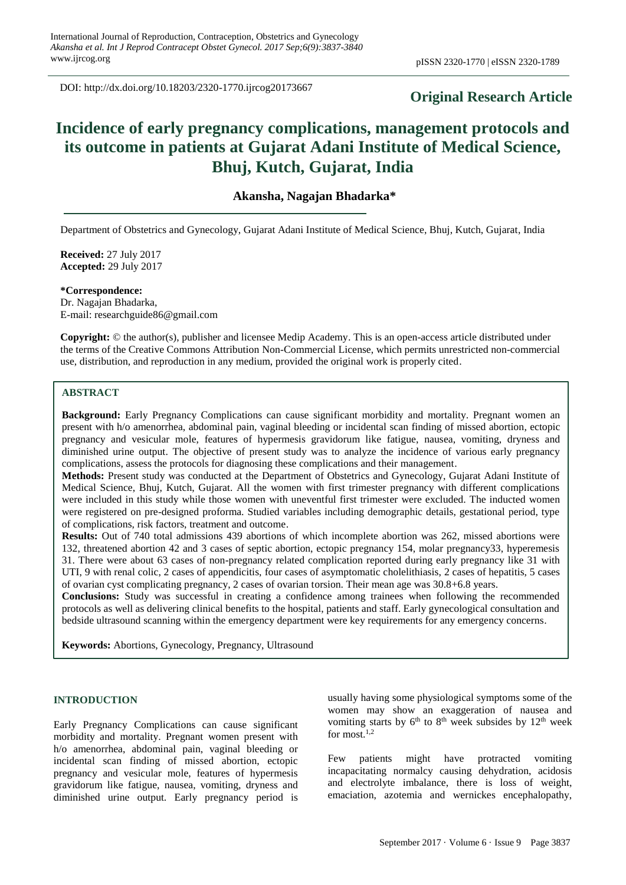DOI: http://dx.doi.org/10.18203/2320-1770.ijrcog20173667

## **Original Research Article**

# **Incidence of early pregnancy complications, management protocols and its outcome in patients at Gujarat Adani Institute of Medical Science, Bhuj, Kutch, Gujarat, India**

## **Akansha, Nagajan Bhadarka\***

Department of Obstetrics and Gynecology, Gujarat Adani Institute of Medical Science, Bhuj, Kutch, Gujarat, India

**Received:** 27 July 2017 **Accepted:** 29 July 2017

**\*Correspondence:** Dr. Nagajan Bhadarka, E-mail: researchguide86@gmail.com

**Copyright:** © the author(s), publisher and licensee Medip Academy. This is an open-access article distributed under the terms of the Creative Commons Attribution Non-Commercial License, which permits unrestricted non-commercial use, distribution, and reproduction in any medium, provided the original work is properly cited.

#### **ABSTRACT**

**Background:** Early Pregnancy Complications can cause significant morbidity and mortality. Pregnant women an present with h/o amenorrhea, abdominal pain, vaginal bleeding or incidental scan finding of missed abortion, ectopic pregnancy and vesicular mole, features of hypermesis gravidorum like fatigue, nausea, vomiting, dryness and diminished urine output. The objective of present study was to analyze the incidence of various early pregnancy complications, assess the protocols for diagnosing these complications and their management.

**Methods:** Present study was conducted at the Department of Obstetrics and Gynecology, Gujarat Adani Institute of Medical Science, Bhuj, Kutch, Gujarat. All the women with first trimester pregnancy with different complications were included in this study while those women with uneventful first trimester were excluded. The inducted women were registered on pre-designed proforma. Studied variables including demographic details, gestational period, type of complications, risk factors, treatment and outcome.

**Results:** Out of 740 total admissions 439 abortions of which incomplete abortion was 262, missed abortions were 132, threatened abortion 42 and 3 cases of septic abortion, ectopic pregnancy 154, molar pregnancy33, hyperemesis 31. There were about 63 cases of non-pregnancy related complication reported during early pregnancy like 31 with UTI, 9 with renal colic, 2 cases of appendicitis, four cases of asymptomatic cholelithiasis, 2 cases of hepatitis, 5 cases of ovarian cyst complicating pregnancy, 2 cases of ovarian torsion. Their mean age was 30.8+6.8 years.

**Conclusions:** Study was successful in creating a confidence among trainees when following the recommended protocols as well as delivering clinical benefits to the hospital, patients and staff. Early gynecological consultation and bedside ultrasound scanning within the emergency department were key requirements for any emergency concerns.

**Keywords:** Abortions, Gynecology, Pregnancy, Ultrasound

#### **INTRODUCTION**

Early Pregnancy Complications can cause significant morbidity and mortality. Pregnant women present with h/o amenorrhea, abdominal pain, vaginal bleeding or incidental scan finding of missed abortion, ectopic pregnancy and vesicular mole, features of hypermesis gravidorum like fatigue, nausea, vomiting, dryness and diminished urine output. Early pregnancy period is usually having some physiological symptoms some of the women may show an exaggeration of nausea and vomiting starts by  $6<sup>th</sup>$  to  $8<sup>th</sup>$  week subsides by  $12<sup>th</sup>$  week for most. $1,2$ 

Few patients might have protracted vomiting incapacitating normalcy causing dehydration, acidosis and electrolyte imbalance, there is loss of weight, emaciation, azotemia and wernickes encephalopathy,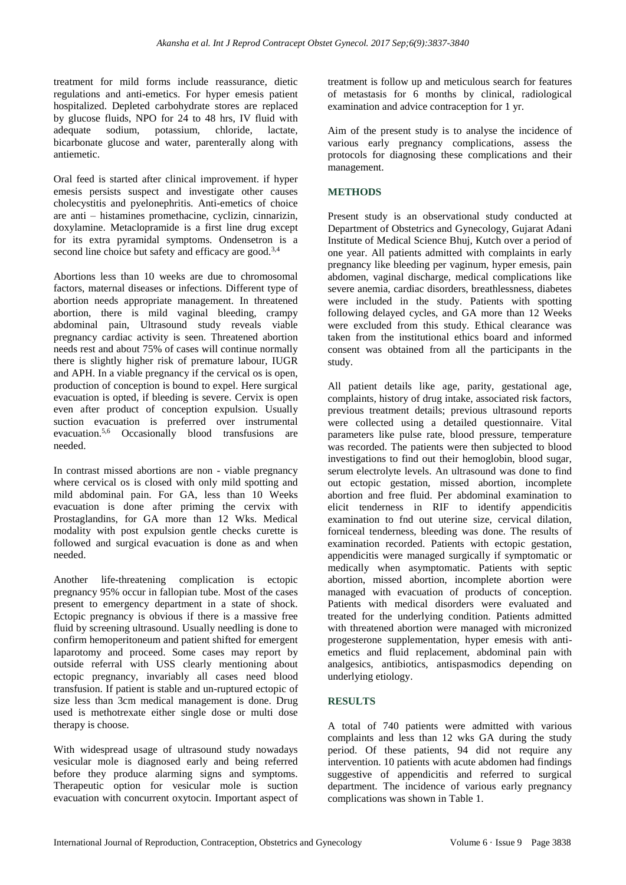treatment for mild forms include reassurance, dietic regulations and anti-emetics. For hyper emesis patient hospitalized. Depleted carbohydrate stores are replaced by glucose fluids, NPO for 24 to 48 hrs, IV fluid with adequate sodium, potassium, chloride, lactate, bicarbonate glucose and water, parenterally along with antiemetic.

Oral feed is started after clinical improvement. if hyper emesis persists suspect and investigate other causes cholecystitis and pyelonephritis. Anti-emetics of choice are anti – histamines promethacine, cyclizin, cinnarizin, doxylamine. Metaclopramide is a first line drug except for its extra pyramidal symptoms. Ondensetron is a second line choice but safety and efficacy are good.<sup>3,4</sup>

Abortions less than 10 weeks are due to chromosomal factors, maternal diseases or infections. Different type of abortion needs appropriate management. In threatened abortion, there is mild vaginal bleeding, crampy abdominal pain, Ultrasound study reveals viable pregnancy cardiac activity is seen. Threatened abortion needs rest and about 75% of cases will continue normally there is slightly higher risk of premature labour, IUGR and APH. In a viable pregnancy if the cervical os is open, production of conception is bound to expel. Here surgical evacuation is opted, if bleeding is severe. Cervix is open even after product of conception expulsion. Usually suction evacuation is preferred over instrumental evacuation.5,6 Occasionally blood transfusions are needed.

In contrast missed abortions are non - viable pregnancy where cervical os is closed with only mild spotting and mild abdominal pain. For GA, less than 10 Weeks evacuation is done after priming the cervix with Prostaglandins, for GA more than 12 Wks. Medical modality with post expulsion gentle checks curette is followed and surgical evacuation is done as and when needed.

Another life-threatening complication is ectopic pregnancy 95% occur in fallopian tube. Most of the cases present to emergency department in a state of shock. Ectopic pregnancy is obvious if there is a massive free fluid by screening ultrasound. Usually needling is done to confirm hemoperitoneum and patient shifted for emergent laparotomy and proceed. Some cases may report by outside referral with USS clearly mentioning about ectopic pregnancy, invariably all cases need blood transfusion. If patient is stable and un-ruptured ectopic of size less than 3cm medical management is done. Drug used is methotrexate either single dose or multi dose therapy is choose.

With widespread usage of ultrasound study nowadays vesicular mole is diagnosed early and being referred before they produce alarming signs and symptoms. Therapeutic option for vesicular mole is suction evacuation with concurrent oxytocin. Important aspect of treatment is follow up and meticulous search for features of metastasis for 6 months by clinical, radiological examination and advice contraception for 1 yr.

Aim of the present study is to analyse the incidence of various early pregnancy complications, assess the protocols for diagnosing these complications and their management.

### **METHODS**

Present study is an observational study conducted at Department of Obstetrics and Gynecology, Gujarat Adani Institute of Medical Science Bhuj, Kutch over a period of one year. All patients admitted with complaints in early pregnancy like bleeding per vaginum, hyper emesis, pain abdomen, vaginal discharge, medical complications like severe anemia, cardiac disorders, breathlessness, diabetes were included in the study. Patients with spotting following delayed cycles, and GA more than 12 Weeks were excluded from this study. Ethical clearance was taken from the institutional ethics board and informed consent was obtained from all the participants in the study.

All patient details like age, parity, gestational age, complaints, history of drug intake, associated risk factors, previous treatment details; previous ultrasound reports were collected using a detailed questionnaire. Vital parameters like pulse rate, blood pressure, temperature was recorded. The patients were then subjected to blood investigations to find out their hemoglobin, blood sugar, serum electrolyte levels. An ultrasound was done to find out ectopic gestation, missed abortion, incomplete abortion and free fluid. Per abdominal examination to elicit tenderness in RIF to identify appendicitis examination to fnd out uterine size, cervical dilation, forniceal tenderness, bleeding was done. The results of examination recorded. Patients with ectopic gestation, appendicitis were managed surgically if symptomatic or medically when asymptomatic. Patients with septic abortion, missed abortion, incomplete abortion were managed with evacuation of products of conception. Patients with medical disorders were evaluated and treated for the underlying condition. Patients admitted with threatened abortion were managed with micronized progesterone supplementation, hyper emesis with antiemetics and fluid replacement, abdominal pain with analgesics, antibiotics, antispasmodics depending on underlying etiology.

## **RESULTS**

A total of 740 patients were admitted with various complaints and less than 12 wks GA during the study period. Of these patients, 94 did not require any intervention. 10 patients with acute abdomen had findings suggestive of appendicitis and referred to surgical department. The incidence of various early pregnancy complications was shown in Table 1.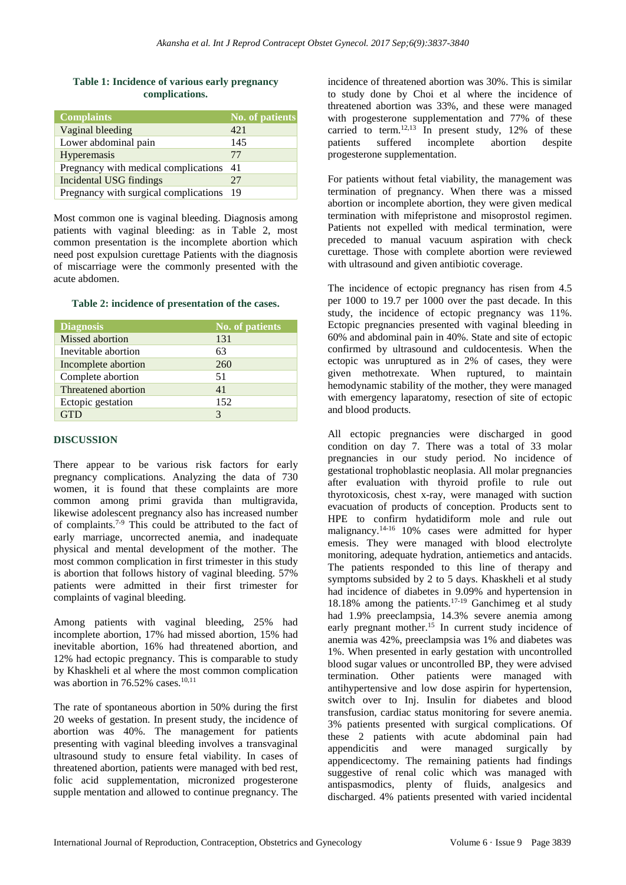|                | Table 1: Incidence of various early pregnancy |  |  |  |
|----------------|-----------------------------------------------|--|--|--|
| complications. |                                               |  |  |  |

| <b>Complaints</b>                       | No. of patients |
|-----------------------------------------|-----------------|
| Vaginal bleeding                        | 421             |
| Lower abdominal pain                    | 145             |
| Hyperemasis                             | 77              |
| Pregnancy with medical complications 41 |                 |
| Incidental USG findings                 | 27              |
| Pregnancy with surgical complications   | - 19            |

Most common one is vaginal bleeding. Diagnosis among patients with vaginal bleeding: as in Table 2, most common presentation is the incomplete abortion which need post expulsion curettage Patients with the diagnosis of miscarriage were the commonly presented with the acute abdomen.

#### **Table 2: incidence of presentation of the cases.**

| <b>Diagnosis</b>    | <b>No. of patients</b> |
|---------------------|------------------------|
| Missed abortion     | 131                    |
| Inevitable abortion | 63                     |
| Incomplete abortion | 260                    |
| Complete abortion   | 51                     |
| Threatened abortion | 41                     |
| Ectopic gestation   | 152                    |
|                     | 3                      |

#### **DISCUSSION**

There appear to be various risk factors for early pregnancy complications. Analyzing the data of 730 women, it is found that these complaints are more common among primi gravida than multigravida, likewise adolescent pregnancy also has increased number of complaints.7-9 This could be attributed to the fact of early marriage, uncorrected anemia, and inadequate physical and mental development of the mother. The most common complication in first trimester in this study is abortion that follows history of vaginal bleeding. 57% patients were admitted in their first trimester for complaints of vaginal bleeding.

Among patients with vaginal bleeding, 25% had incomplete abortion, 17% had missed abortion, 15% had inevitable abortion, 16% had threatened abortion, and 12% had ectopic pregnancy. This is comparable to study by Khaskheli et al where the most common complication was abortion in 76.52% cases. $10,11$ 

The rate of spontaneous abortion in 50% during the first 20 weeks of gestation. In present study, the incidence of abortion was 40%. The management for patients presenting with vaginal bleeding involves a transvaginal ultrasound study to ensure fetal viability. In cases of threatened abortion, patients were managed with bed rest, folic acid supplementation, micronized progesterone supple mentation and allowed to continue pregnancy. The incidence of threatened abortion was 30%. This is similar to study done by Choi et al where the incidence of threatened abortion was 33%, and these were managed with progesterone supplementation and 77% of these carried to term.<sup>12,13</sup> In present study, 12% of these patients suffered incomplete abortion despite progesterone supplementation.

For patients without fetal viability, the management was termination of pregnancy. When there was a missed abortion or incomplete abortion, they were given medical termination with mifepristone and misoprostol regimen. Patients not expelled with medical termination, were preceded to manual vacuum aspiration with check curettage. Those with complete abortion were reviewed with ultrasound and given antibiotic coverage.

The incidence of ectopic pregnancy has risen from 4.5 per 1000 to 19.7 per 1000 over the past decade. In this study, the incidence of ectopic pregnancy was 11%. Ectopic pregnancies presented with vaginal bleeding in 60% and abdominal pain in 40%. State and site of ectopic confirmed by ultrasound and culdocentesis. When the ectopic was unruptured as in 2% of cases, they were given methotrexate. When ruptured, to maintain hemodynamic stability of the mother, they were managed with emergency laparatomy, resection of site of ectopic and blood products.

All ectopic pregnancies were discharged in good condition on day 7. There was a total of 33 molar pregnancies in our study period. No incidence of gestational trophoblastic neoplasia. All molar pregnancies after evaluation with thyroid profile to rule out thyrotoxicosis, chest x-ray, were managed with suction evacuation of products of conception. Products sent to HPE to confirm hydatidiform mole and rule out malignancy.<sup>14-16</sup> 10% cases were admitted for hyper emesis. They were managed with blood electrolyte monitoring, adequate hydration, antiemetics and antacids. The patients responded to this line of therapy and symptoms subsided by 2 to 5 days. Khaskheli et al study had incidence of diabetes in 9.09% and hypertension in 18.18% among the patients.17-19 Ganchimeg et al study had 1.9% preeclampsia, 14.3% severe anemia among early pregnant mother.<sup>15</sup> In current study incidence of anemia was 42%, preeclampsia was 1% and diabetes was 1%. When presented in early gestation with uncontrolled blood sugar values or uncontrolled BP, they were advised termination. Other patients were managed with antihypertensive and low dose aspirin for hypertension, switch over to Inj. Insulin for diabetes and blood transfusion, cardiac status monitoring for severe anemia. 3% patients presented with surgical complications. Of these 2 patients with acute abdominal pain had appendicitis and were managed surgically by appendicectomy. The remaining patients had findings suggestive of renal colic which was managed with antispasmodics, plenty of fluids, analgesics and discharged. 4% patients presented with varied incidental